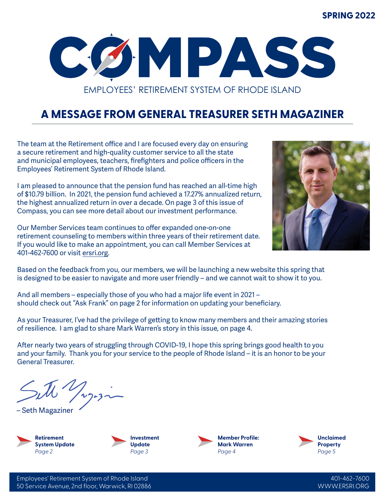#### **SPRING 2022**



## **A MESSAGE FROM GENERAL TREASURER SETH MAGAZINER**

The team at the Retirement office and I are focused every day on ensuring a secure retirement and high-quality customer service to all the state and municipal employees, teachers, firefighters and police officers in the Employees' Retirement System of Rhode Island.

I am pleased to announce that the pension fund has reached an all-time high of \$10.79 billion. In 2021, the pension fund achieved a 17.27% annualized return, the highest annualized return in over a decade. On page 3 of this issue of Compass, you can see more detail about our investment performance.

Our Member Services team continues to offer expanded one-on-one retirement counseling to members within three years of their retirement date. If you would like to make an appointment, you can call Member Services at 401-462-7600 or visit ersri.org.



Based on the feedback from you, our members, we will be launching a new website this spring that is designed to be easier to navigate and more user friendly – and we cannot wait to show it to you.

And all members – especially those of you who had a major life event in 2021 – should check out "Ask Frank" on page 2 for information on updating your beneficiary.

As your Treasurer, I've had the privilege of getting to know many members and their amazing stories of resilience. I am glad to share Mark Warren's story in this issue, on page 4.

After nearly two years of struggling through COVID-19, I hope this spring brings good health to you and your family. Thank you for your service to the people of Rhode Island – it is an honor to be your General Treasurer.

– Seth Magaziner





**Member Profile: Mark Warren** *Page 4*

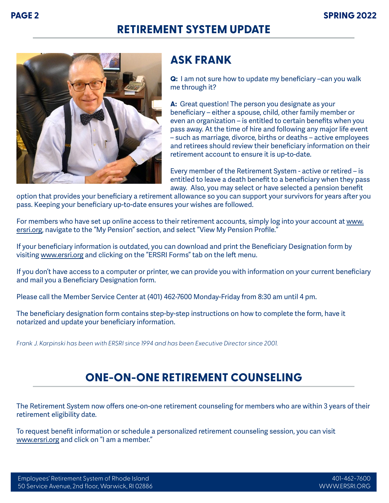## **RETIREMENT SYSTEM UPDATE**



### **ASK FRANK**

**Q:** I am not sure how to update my beneficiary –can you walk me through it?

**A:** Great question! The person you designate as your beneficiary – either a spouse, child, other family member or even an organization – is entitled to certain benefits when you pass away. At the time of hire and following any major life event – such as marriage, divorce, births or deaths – active employees and retirees should review their beneficiary information on their retirement account to ensure it is up-to-date.

Every member of the Retirement System - active or retired – is entitled to leave a death benefit to a beneficiary when they pass away. Also, you may select or have selected a pension benefit

option that provides your beneficiary a retirement allowance so you can support your survivors for years after you pass. Keeping your beneficiary up-to-date ensures your wishes are followed.

For members who have set up online access to their retirement accounts, simply log into your account at www. ersri.org, navigate to the "My Pension" section, and select "View My Pension Profile."

If your beneficiary information is outdated, you can download and print the Beneficiary Designation form by visiting www.ersri.org and clicking on the "ERSRI Forms" tab on the left menu.

If you don't have access to a computer or printer, we can provide you with information on your current beneficiary and mail you a Beneficiary Designation form.

Please call the Member Service Center at (401) 462-7600 Monday-Friday from 8:30 am until 4 pm.

The beneficiary designation form contains step-by-step instructions on how to complete the form, have it notarized and update your beneficiary information.

*Frank J. Karpinski has been with ERSRI since 1994 and has been Executive Director since 2001.*

## **ONE-ON-ONE RETIREMENT COUNSELING**

The Retirement System now offers one-on-one retirement counseling for members who are within 3 years of their retirement eligibility date.

To request benefit information or schedule a personalized retirement counseling session, you can visit www.ersri.org and click on "I am a member."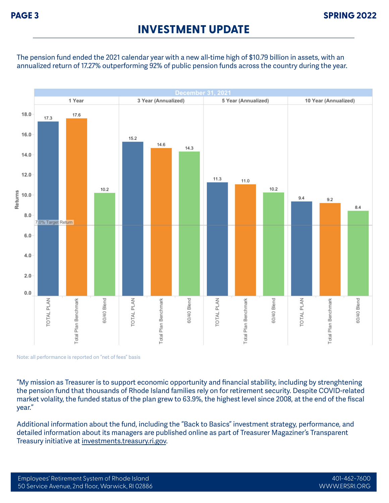#### **INVESTMENT UPDATE**

The pension fund ended the 2021 calendar year with a new all-time high of \$10.79 billion in assets, with an annualized return of 17.27% outperforming 92% of public pension funds across the country during the year.



Note: all performance is reported on "net of fees" basis

"My mission as Treasurer is to support economic opportunity and financial stability, including by strenghtening the pension fund that thousands of Rhode Island families rely on for retirement security. Despite COVID-related market volality, the funded status of the plan grew to 63.9%, the highest level since 2008, at the end of the fiscal year."

Additional information about the fund, including the "Back to Basics" investment strategy, performance, and detailed information about its managers are published online as part of Treasurer Magaziner's Transparent Treasury initiative at investments.treasury.ri.gov.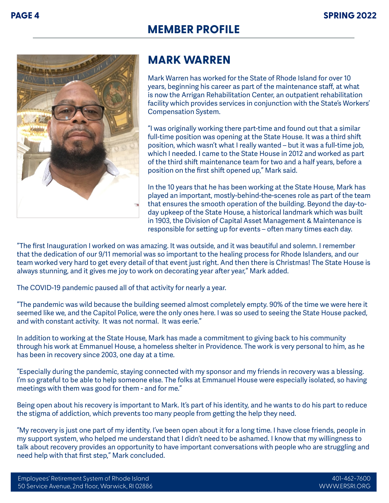# **MEMBER PROFILE**



## **MARK WARREN**

Mark Warren has worked for the State of Rhode Island for over 10 years, beginning his career as part of the maintenance staff, at what is now the Arrigan Rehabilitation Center, an outpatient rehabilitation facility which provides services in conjunction with the State's Workers' Compensation System.

"I was originally working there part-time and found out that a similar full-time position was opening at the State House. It was a third shift position, which wasn't what I really wanted – but it was a full-time job, which I needed. I came to the State House in 2012 and worked as part of the third shift maintenance team for two and a half years, before a position on the first shift opened up," Mark said.

In the 10 years that he has been working at the State House, Mark has played an important, mostly-behind-the-scenes role as part of the team that ensures the smooth operation of the building. Beyond the day-today upkeep of the State House, a historical landmark which was built in 1903, the Division of Capital Asset Management & Maintenance is responsible for setting up for events – often many times each day.

"The first Inauguration I worked on was amazing. It was outside, and it was beautiful and solemn. I remember that the dedication of our 9/11 memorial was so important to the healing process for Rhode Islanders, and our team worked very hard to get every detail of that event just right. And then there is Christmas! The State House is always stunning, and it gives me joy to work on decorating year after year," Mark added.

The COVID-19 pandemic paused all of that activity for nearly a year.

"The pandemic was wild because the building seemed almost completely empty. 90% of the time we were here it seemed like we, and the Capitol Police, were the only ones here. I was so used to seeing the State House packed, and with constant activity. It was not normal. It was eerie."

In addition to working at the State House, Mark has made a commitment to giving back to his community through his work at Emmanuel House, a homeless shelter in Providence. The work is very personal to him, as he has been in recovery since 2003, one day at a time.

"Especially during the pandemic, staying connected with my sponsor and my friends in recovery was a blessing. I'm so grateful to be able to help someone else. The folks at Emmanuel House were especially isolated, so having meetings with them was good for them - and for me."

Being open about his recovery is important to Mark. It's part of his identity, and he wants to do his part to reduce the stigma of addiction, which prevents too many people from getting the help they need.

"My recovery is just one part of my identity. I've been open about it for a long time. I have close friends, people in my support system, who helped me understand that I didn't need to be ashamed. I know that my willingness to talk about recovery provides an opportunity to have important conversations with people who are struggling and need help with that first step," Mark concluded.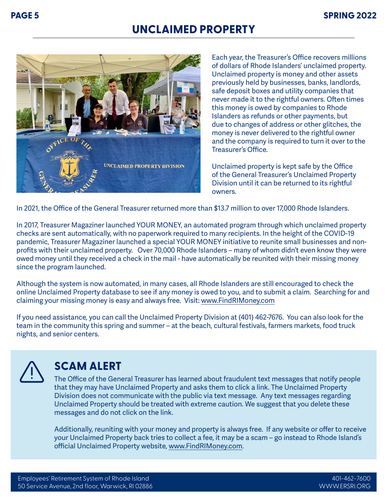#### **UNCLAIMED PROPERTY**



Each year, the Treasurer's Office recovers millions of dollars of Rhode Islanders' unclaimed property. Unclaimed property is money and other assets previously held by businesses, banks, landlords, safe deposit boxes and utility companies that never made it to the rightful owners. Often times this money is owed by companies to Rhode Islanders as refunds or other payments, but due to changes of address or other glitches, the money is never delivered to the rightful owner and the company is required to turn it over to the Treasurer's Office.

Unclaimed property is kept safe by the Office of the General Treasurer's Unclaimed Property Division until it can be returned to its rightful owners.

In 2021, the Office of the General Treasurer returned more than \$13.7 million to over 17,000 Rhode Islanders.

In 2017, Treasurer Magaziner launched YOUR MONEY, an automated program through which unclaimed property checks are sent automatically, with no paperwork required to many recipients. In the height of the COVID-19 pandemic, Treasurer Magaziner launched a special YOUR MONEY initiative to reunite small businesses and nonprofits with their unclaimed property. Over 70,000 Rhode Islanders – many of whom didn't even know they were owed money until they received a check in the mail - have automatically be reunited with their missing money since the program launched.

Although the system is now automated, in many cases, all Rhode Islanders are still encouraged to check the online Unclaimed Property database to see if any money is owed to you, and to submit a claim. Searching for and claiming your missing money is easy and always free. Visit: www.FindRIMoney.com

If you need assistance, you can call the Unclaimed Property Division at (401) 462-7676. You can also look for the team in the community this spring and summer – at the beach, cultural festivals, farmers markets, food truck nights, and senior centers.



#### **SCAM ALERT**

The Office of the General Treasurer has learned about fraudulent text messages that notify people that they may have Unclaimed Property and asks them to click a link. The Unclaimed Property Division does not communicate with the public via text message. Any text messages regarding Unclaimed Property should be treated with extreme caution. We suggest that you delete these messages and do not click on the link.

Additionally, reuniting with your money and property is always free. If any website or offer to receive your Unclaimed Property back tries to collect a fee, it may be a scam – go instead to Rhode Island's official Unclaimed Property website, www.FindRIMoney.com.